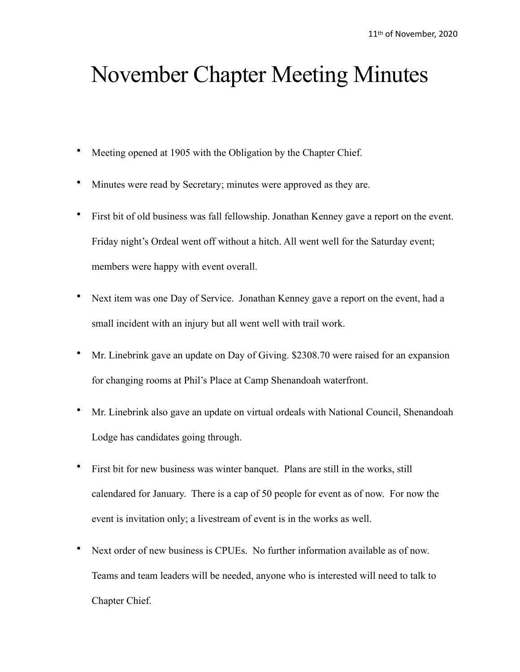## November Chapter Meeting Minutes

- Meeting opened at 1905 with the Obligation by the Chapter Chief.
- Minutes were read by Secretary; minutes were approved as they are.
- First bit of old business was fall fellowship. Jonathan Kenney gave a report on the event. Friday night's Ordeal went off without a hitch. All went well for the Saturday event; members were happy with event overall.
- Next item was one Day of Service. Jonathan Kenney gave a report on the event, had a small incident with an injury but all went well with trail work.
- Mr. Linebrink gave an update on Day of Giving. \$2308.70 were raised for an expansion for changing rooms at Phil's Place at Camp Shenandoah waterfront.
- Mr. Linebrink also gave an update on virtual ordeals with National Council, Shenandoah Lodge has candidates going through.
- First bit for new business was winter banquet. Plans are still in the works, still calendared for January. There is a cap of 50 people for event as of now. For now the event is invitation only; a livestream of event is in the works as well.
- Next order of new business is CPUEs. No further information available as of now. Teams and team leaders will be needed, anyone who is interested will need to talk to Chapter Chief.